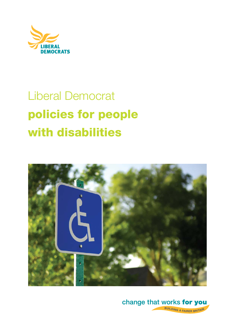

# Liberal Democrat **policies for people with disabilities**



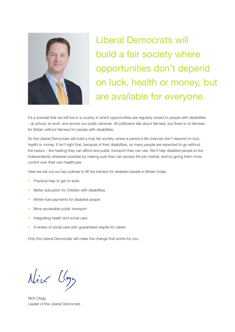

Liberal Democrats will build a fair society where opportunities don't depend on luck, health or money, but are available for everyone.

It's a scandal that we still live in a country in which opportunities are regularly closed to people with disabilities – at school, at work, and across our public services. All politicians talk about fairness, but there is no fairness for Britain without fairness for people with disabilities.

So the Liberal Democrats will build a truly fair society, where a person's life chances don't depend on luck, health or money. It isn't right that, because of their disabilities, so many people are expected to go without the basics – like heating they can afford and public transport they can use. We'll help disabled people to live independently wherever possible by making sure they can access the job market, and by giving them more control over their own healthcare.

Here we set out our key policies to lift the barriers for disabled people in Britain today:

- Practical help to get to work
- Better education for children with disabilities
- Winter fuel payments for disabled people
- More accessible public transport
- Integrating health and social care
- A review of social care with guaranteed respite for carers

Only the Liberal Democrats will make the change that works for you.

Nive Class

Nick Clegg Leader of the Liberal Democrats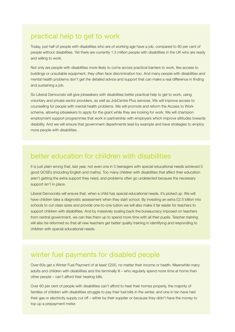### practical help to get to work

Today, just half of people with disabilities who are of working age have a job, compared to 80 per cent of people without disabilities. Yet there are currently 1.3 million people with disabilities in the UK who are ready and willing to work.

Not only are people with disabilities more likely to come across practical barriers to work, like access to buildings or unsuitable equipment, they often face discrimination too. And many people with disabilities and mental health problems don't get the detailed advice and support that can make a real difference in finding and sustaining a job.

So Liberal Democrats will give jobseekers with disabilities better practical help to get to work, using voluntary and private sector providers, as well as JobCentre Plus services. We will improve access to counselling for people with mental health problems. We will promote and reform the Access to Work scheme, allowing jobseekers to apply for the grant while they are looking for work. We will champion employment support programmes that work in partnership with employers which improve attitudes towards disability. And we will ensure that government departments lead by example and have strategies to employ more people with disabilities.

# better education for children with disabilities

It is just plain wrong that, last year, not even one in 5 teenagers with special educational needs achieved 5 good GCSEs (including English and maths). Too many children with disabilities that affect their education aren't getting the extra support they need, and problems often go undetected because the necessary support isn't in place.

Liberal Democrats will ensure that, when a child has special educational needs, it's picked up. We will have children take a diagnostic assessment when they start school. By investing an extra £2.5 billion into schools to cut class sizes and provide one-to-one tuition we will also make it far easier for teachers to support children with disabilities. And by massively scaling back the bureaucracy imposed on teachers from central government, we can free them up to spend more time with all their pupils. Teacher training will also be reformed so that all new teachers get better quality training in identifying and responding to children with special educational needs.

# winter fuel payments for disabled people

Over-60s get a Winter Fuel Payment of at least £200, no matter their income or health. Meanwhile many adults and children with disabilities and the terminally ill – who regularly spend more time at home than other people – can't afford their heating bills.

Over 60 per cent of people with disabilities can't afford to heat their homes properly, the majority of families of children with disabilities struggle to pay their fuel bills in the winter, and one in ten have had their gas or electricity supply cut off – either by their supplier or because they didn't have the money to top up a prepayment meter.